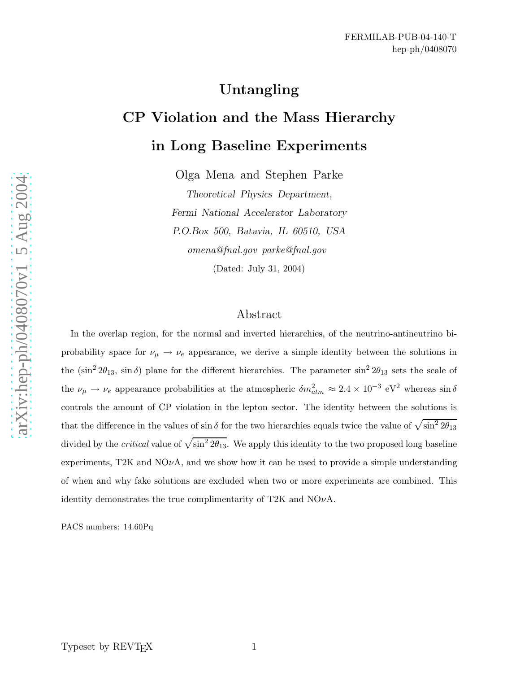# Untangling

# CP Violation and the Mass Hierarchy in Long Baseline Experiments

Olga Mena and Stephen Parke

Theoretical Physics Department, Fermi National Accelerator Laboratory P.O.Box 500, Batavia, IL 60510, USA omena@fnal.gov parke@fnal.gov (Dated: July 31, 2004)

## Abstract

In the overlap region, for the normal and inverted hierarchies, of the neutrino-antineutrino biprobability space for  $\nu_{\mu} \rightarrow \nu_{e}$  appearance, we derive a simple identity between the solutions in the  $(\sin^2 2\theta_{13}, \sin \delta)$  plane for the different hierarchies. The parameter  $\sin^2 2\theta_{13}$  sets the scale of the  $\nu_{\mu} \to \nu_e$  appearance probabilities at the atmospheric  $\delta m_{atm}^2 \approx 2.4 \times 10^{-3} \text{ eV}^2$  whereas  $\sin \delta$ controls the amount of CP violation in the lepton sector. The identity between the solutions is that the difference in the values of  $\sin \delta$  for the two hierarchies equals twice the value of  $\sqrt{\sin^2 2\theta_{13}}$ divided by the *critical* value of  $\sqrt{\sin^2 2\theta_{13}}$ . We apply this identity to the two proposed long baseline experiments, T2K and  $NO\nu A$ , and we show how it can be used to provide a simple understanding of when and why fake solutions are excluded when two or more experiments are combined. This identity demonstrates the true complimentarity of T2K and  $NO\nu A$ .

PACS numbers: 14.60Pq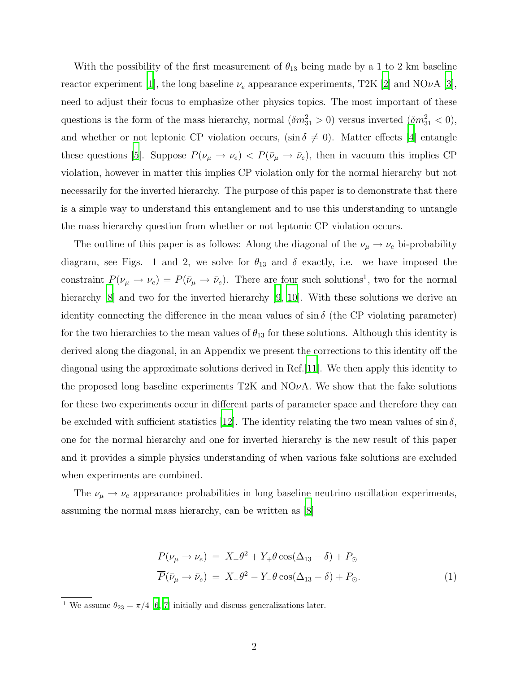With the possibility of the first measurement of  $\theta_{13}$  being made by a 1 to 2 km baseline reactor experiment [\[1](#page-13-0)], the long baseline  $\nu_e$  appearance experiments, T2K [\[2](#page-13-1)] and NO $\nu$ A [\[3\]](#page-13-2), need to adjust their focus to emphasize other physics topics. The most important of these questions is the form of the mass hierarchy, normal  $(\delta m_{31}^2 > 0)$  versus inverted  $(\delta m_{31}^2 < 0)$ , and whether or not leptonic CP violation occurs,  $(\sin \delta \neq 0)$ . Matter effects [\[4\]](#page-13-3) entangle these questions [\[5\]](#page-13-4). Suppose  $P(\nu_{\mu} \to \nu_{e})$  <  $P(\bar{\nu}_{\mu} \to \bar{\nu}_{e})$ , then in vacuum this implies CP violation, however in matter this implies CP violation only for the normal hierarchy but not necessarily for the inverted hierarchy. The purpose of this paper is to demonstrate that there is a simple way to understand this entanglement and to use this understanding to untangle the mass hierarchy question from whether or not leptonic CP violation occurs.

The outline of this paper is as follows: Along the diagonal of the  $\nu_{\mu} \rightarrow \nu_{e}$  bi-probability diagram, see Figs. 1 and 2, we solve for  $\theta_{13}$  and  $\delta$  exactly, i.e. we have imposed the constraint  $P(\nu_{\mu} \to \nu_e) = P(\bar{\nu}_{\mu} \to \bar{\nu}_e)$ . There are four such solutions<sup>1</sup>, two for the normal hierarchy [\[8\]](#page-13-5) and two for the inverted hierarchy [\[9,](#page-13-6) [10](#page-13-7)]. With these solutions we derive an identity connecting the difference in the mean values of  $\sin \delta$  (the CP violating parameter) for the two hierarchies to the mean values of  $\theta_{13}$  for these solutions. Although this identity is derived along the diagonal, in an Appendix we present the corrections to this identity off the diagonal using the approximate solutions derived in Ref.[\[11](#page-13-8)]. We then apply this identity to the proposed long baseline experiments T2K and  $NO\nu A$ . We show that the fake solutions for these two experiments occur in different parts of parameter space and therefore they can be excluded with sufficient statistics [\[12\]](#page-13-9). The identity relating the two mean values of  $\sin \delta$ , one for the normal hierarchy and one for inverted hierarchy is the new result of this paper and it provides a simple physics understanding of when various fake solutions are excluded when experiments are combined.

The  $\nu_{\mu} \rightarrow \nu_{e}$  appearance probabilities in long baseline neutrino oscillation experiments, assuming the normal mass hierarchy, can be written as [\[8\]](#page-13-5)

<span id="page-1-0"></span>
$$
P(\nu_{\mu} \to \nu_{e}) = X_{+} \theta^{2} + Y_{+} \theta \cos(\Delta_{13} + \delta) + P_{\odot}
$$
  

$$
\overline{P}(\bar{\nu}_{\mu} \to \bar{\nu}_{e}) = X_{-} \theta^{2} - Y_{-} \theta \cos(\Delta_{13} - \delta) + P_{\odot}.
$$
 (1)

<sup>&</sup>lt;sup>1</sup> We assume  $\theta_{23} = \pi/4$  [\[6,](#page-13-10) [7](#page-13-11)] initially and discuss generalizations later.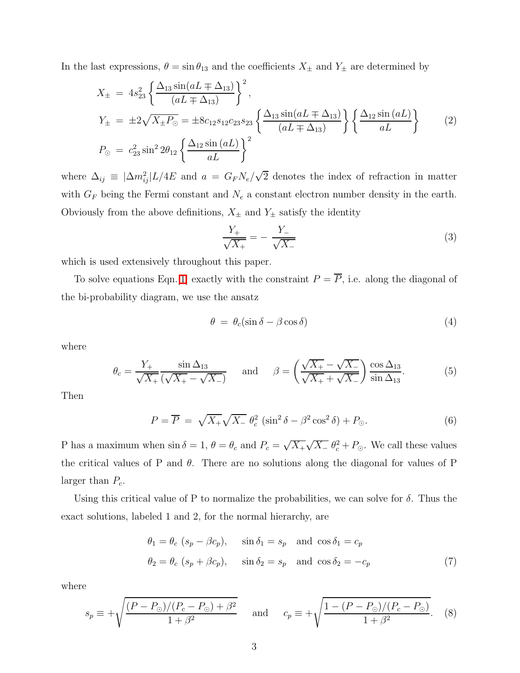In the last expressions,  $\theta = \sin \theta_{13}$  and the coefficients  $X_{\pm}$  and  $Y_{\pm}$  are determined by

$$
X_{\pm} = 4s_{23}^{2} \left\{ \frac{\Delta_{13} \sin(aL \mp \Delta_{13})}{(aL \mp \Delta_{13})} \right\}^{2},
$$
  
\n
$$
Y_{\pm} = \pm 2\sqrt{X_{\pm}P_{\odot}} = \pm 8c_{12}s_{12}c_{23}s_{23} \left\{ \frac{\Delta_{13} \sin(aL \mp \Delta_{13})}{(aL \mp \Delta_{13})} \right\} \left\{ \frac{\Delta_{12} \sin(aL)}{aL} \right\}
$$
  
\n
$$
P_{\odot} = c_{23}^{2} \sin^{2} 2\theta_{12} \left\{ \frac{\Delta_{12} \sin(aL)}{aL} \right\}^{2}
$$
 (2)

where  $\Delta_{ij} \equiv |\Delta m_{ij}^2| L/4E$  and  $a = G_F N_e / \sqrt{2}$  denotes the index of refraction in matter with  $G_F$  being the Fermi constant and  $N_e$  a constant electron number density in the earth. Obviously from the above definitions,  $X_{\pm}$  and  $Y_{\pm}$  satisfy the identity

$$
\frac{Y_{+}}{\sqrt{X_{+}}} = -\frac{Y_{-}}{\sqrt{X_{-}}}
$$
\n(3)

which is used extensively throughout this paper.

To solve equations Eqn.[\[1\]](#page-1-0) exactly with the constraint  $P = \overline{P}$ , i.e. along the diagonal of the bi-probability diagram, we use the ansatz

$$
\theta = \theta_c (\sin \delta - \beta \cos \delta) \tag{4}
$$

where

$$
\theta_c = \frac{Y_+}{\sqrt{X_+}} \frac{\sin \Delta_{13}}{(\sqrt{X_+} - \sqrt{X_-})} \quad \text{and} \quad \beta = \left(\frac{\sqrt{X_+} - \sqrt{X_-}}{\sqrt{X_+} + \sqrt{X_-}}\right) \frac{\cos \Delta_{13}}{\sin \Delta_{13}}.\tag{5}
$$

Then

$$
P = \overline{P} = \sqrt{X_+} \sqrt{X_-} \ \theta_c^2 \ (\sin^2 \delta - \beta^2 \cos^2 \delta) + P_{\odot}.
$$
 (6)

P has a maximum when  $\sin \delta = 1$ ,  $\theta = \theta_c$  and  $P_c = \sqrt{X_+} \sqrt{X_-} \theta_c^2 + P_{\odot}$ . We call these values the critical values of P and  $\theta$ . There are no solutions along the diagonal for values of P larger than  $P_c$ .

Using this critical value of P to normalize the probabilities, we can solve for  $\delta$ . Thus the exact solutions, labeled 1 and 2, for the normal hierarchy, are

$$
\theta_1 = \theta_c (s_p - \beta c_p), \quad \sin \delta_1 = s_p \text{ and } \cos \delta_1 = c_p
$$
  

$$
\theta_2 = \theta_c (s_p + \beta c_p), \quad \sin \delta_2 = s_p \text{ and } \cos \delta_2 = -c_p
$$
 (7)

where

$$
s_p \equiv +\sqrt{\frac{(P - P_{\odot})/(P_c - P_{\odot}) + \beta^2}{1 + \beta^2}} \quad \text{and} \quad c_p \equiv +\sqrt{\frac{1 - (P - P_{\odot})/(P_c - P_{\odot})}{1 + \beta^2}}.
$$
 (8)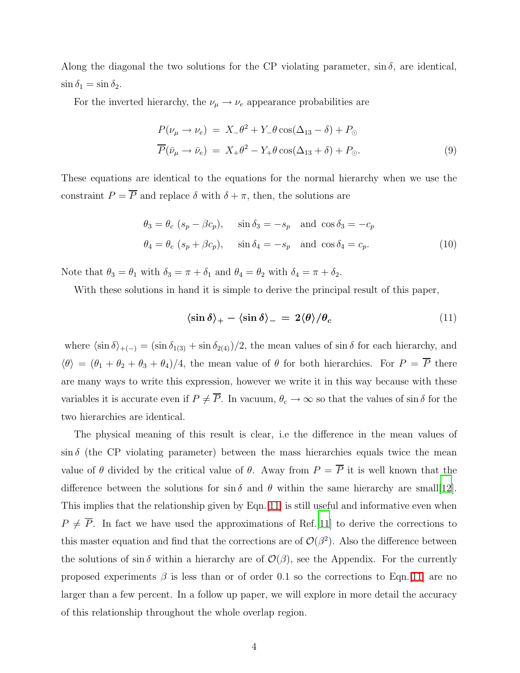Along the diagonal the two solutions for the CP violating parameter,  $\sin \delta$ , are identical,  $\sin \delta_1 = \sin \delta_2.$ 

For the inverted hierarchy, the  $\nu_{\mu} \rightarrow \nu_{e}$  appearance probabilities are

$$
P(\nu_{\mu} \to \nu_{e}) = X_{-} \theta^{2} + Y_{-} \theta \cos(\Delta_{13} - \delta) + P_{\odot}
$$
  

$$
\overline{P}(\bar{\nu}_{\mu} \to \bar{\nu}_{e}) = X_{+} \theta^{2} - Y_{+} \theta \cos(\Delta_{13} + \delta) + P_{\odot}.
$$
 (9)

These equations are identical to the equations for the normal hierarchy when we use the constraint  $P = \overline{P}$  and replace  $\delta$  with  $\delta + \pi$ , then, the solutions are

$$
\theta_3 = \theta_c (s_p - \beta c_p), \quad \sin \delta_3 = -s_p \quad \text{and } \cos \delta_3 = -c_p
$$
  

$$
\theta_4 = \theta_c (s_p + \beta c_p), \quad \sin \delta_4 = -s_p \quad \text{and } \cos \delta_4 = c_p.
$$
 (10)

Note that  $\theta_3 = \theta_1$  with  $\delta_3 = \pi + \delta_1$  and  $\theta_4 = \theta_2$  with  $\delta_4 = \pi + \delta_2$ .

<span id="page-3-0"></span>With these solutions in hand it is simple to derive the principal result of this paper,

$$
\langle \sin \delta \rangle_{+} - \langle \sin \delta \rangle_{-} = 2 \langle \theta \rangle / \theta_c \tag{11}
$$

where  $\langle \sin \delta \rangle_{+(-)} = (\sin \delta_{1(3)} + \sin \delta_{2(4)})/2$ , the mean values of  $\sin \delta$  for each hierarchy, and  $\langle \theta \rangle = (\theta_1 + \theta_2 + \theta_3 + \theta_4)/4$ , the mean value of  $\theta$  for both hierarchies. For  $P = \overline{P}$  there are many ways to write this expression, however we write it in this way because with these variables it is accurate even if  $P \neq \overline{P}$ . In vacuum,  $\theta_c \to \infty$  so that the values of sin  $\delta$  for the two hierarchies are identical.

The physical meaning of this result is clear, i.e the difference in the mean values of  $\sin \delta$  (the CP violating parameter) between the mass hierarchies equals twice the mean value of  $\theta$  divided by the critical value of  $\theta$ . Away from  $P = \overline{P}$  it is well known that the difference between the solutions for  $\sin \delta$  and  $\theta$  within the same hierarchy are small[\[12\]](#page-13-9). This implies that the relationship given by Eqn.[\[11\]](#page-3-0) is still useful and informative even when  $P \neq \overline{P}$ . In fact we have used the approximations of Ref.[\[11](#page-13-8)] to derive the corrections to this master equation and find that the corrections are of  $\mathcal{O}(\beta^2)$ . Also the difference between the solutions of  $\sin \delta$  within a hierarchy are of  $\mathcal{O}(\beta)$ , see the Appendix. For the currently proposed experiments  $\beta$  is less than or of order 0.1 so the corrections to Eqn.[\[11\]](#page-3-0) are no larger than a few percent. In a follow up paper, we will explore in more detail the accuracy of this relationship throughout the whole overlap region.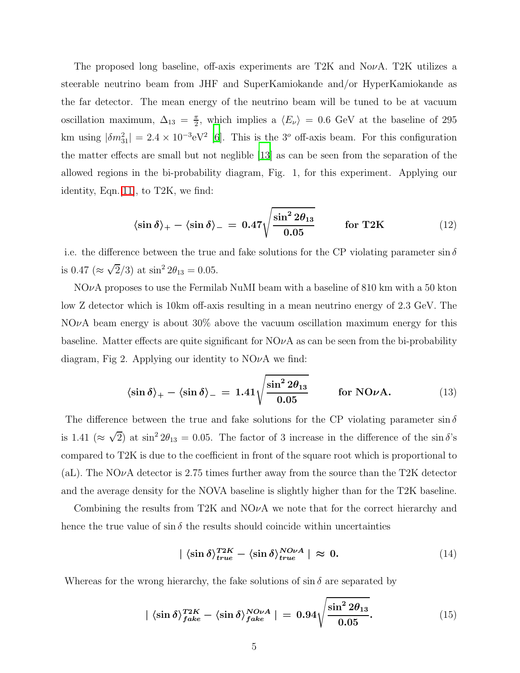The proposed long baseline, off-axis experiments are  $T2K$  and  $NovA$ . T2K utilizes a steerable neutrino beam from JHF and SuperKamiokande and/or HyperKamiokande as the far detector. The mean energy of the neutrino beam will be tuned to be at vacuum oscillation maximum,  $\Delta_{13} = \frac{\pi}{2}$  $\frac{\pi}{2}$ , which implies a  $\langle E_{\nu} \rangle = 0.6$  GeV at the baseline of 295 km using  $|\delta m_{31}^2| = 2.4 \times 10^{-3} \text{eV}^2$  [\[6\]](#page-13-10). This is the 3<sup>o</sup> off-axis beam. For this configuration the matter effects are small but not neglible [\[13](#page-14-0)] as can be seen from the separation of the allowed regions in the bi-probability diagram, Fig. 1, for this experiment. Applying our identity, Eqn.[\[11\]](#page-3-0), to T2K, we find:

$$
\langle \sin \delta \rangle_{+} - \langle \sin \delta \rangle_{-} = 0.47 \sqrt{\frac{\sin^2 2\theta_{13}}{0.05}} \quad \text{for T2K} \tag{12}
$$

i.e. the difference between the true and fake solutions for the CP violating parameter  $\sin \delta$ is 0.47 ( $\approx \sqrt{2}/3$ ) at  $\sin^2 2\theta_{13} = 0.05$ .

 $NQ\nu A$  proposes to use the Fermilab NuMI beam with a baseline of 810 km with a 50 kton low Z detector which is 10km off-axis resulting in a mean neutrino energy of 2.3 GeV. The  $NO\nu A$  beam energy is about 30% above the vacuum oscillation maximum energy for this baseline. Matter effects are quite significant for  $NQ\nu A$  as can be seen from the bi-probability diagram, Fig 2. Applying our identity to  $NO\nu A$  we find:

$$
\langle \sin \delta \rangle_{+} - \langle \sin \delta \rangle_{-} = 1.41 \sqrt{\frac{\sin^2 2\theta_{13}}{0.05}} \quad \text{for NO}\nu\text{A}.
$$
 (13)

The difference between the true and fake solutions for the CP violating parameter  $\sin \delta$ is 1.41 ( $\approx \sqrt{2}$ ) at sin<sup>2</sup>  $2\theta_{13} = 0.05$ . The factor of 3 increase in the difference of the sin  $\delta$ 's compared to T2K is due to the coefficient in front of the square root which is proportional to (aL). The NO $\nu$ A detector is 2.75 times further away from the source than the T2K detector and the average density for the NOVA baseline is slightly higher than for the T2K baseline.

Combining the results from T2K and  $NQ\nu A$  we note that for the correct hierarchy and hence the true value of  $\sin \delta$  the results should coincide within uncertainties

$$
|\langle \sin \delta \rangle_{true}^{T2K} - \langle \sin \delta \rangle_{true}^{NO\nu A} | \approx 0. \tag{14}
$$

Whereas for the wrong hierarchy, the fake solutions of  $\sin \delta$  are separated by

$$
|\langle \sin \delta \rangle_{fake}^{T2K} - \langle \sin \delta \rangle_{fake}^{NO\nu A}| = 0.94 \sqrt{\frac{\sin^2 2\theta_{13}}{0.05}}.
$$
 (15)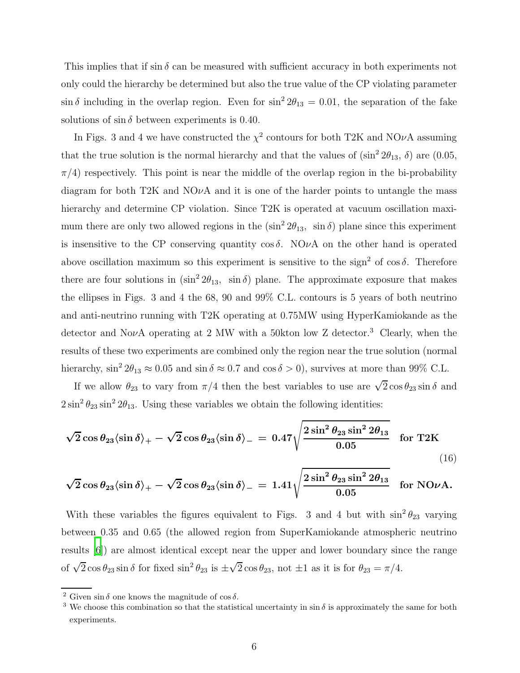This implies that if  $\sin \delta$  can be measured with sufficient accuracy in both experiments not only could the hierarchy be determined but also the true value of the CP violating parameter  $\sin \delta$  including in the overlap region. Even for  $\sin^2 2\theta_{13} = 0.01$ , the separation of the fake solutions of  $\sin \delta$  between experiments is 0.40.

In Figs. 3 and 4 we have constructed the  $\chi^2$  contours for both T2K and NO $\nu$ A assuming that the true solution is the normal hierarchy and that the values of  $(\sin^2 2\theta_{13}, \delta)$  are  $(0.05,$  $\pi/4$ ) respectively. This point is near the middle of the overlap region in the bi-probability diagram for both T2K and  $NO\nu A$  and it is one of the harder points to untangle the mass hierarchy and determine CP violation. Since T2K is operated at vacuum oscillation maximum there are only two allowed regions in the  $(\sin^2 2\theta_{13}, \sin \delta)$  plane since this experiment is insensitive to the CP conserving quantity  $\cos \delta$ . NO<sub>v</sub>A on the other hand is operated above oscillation maximum so this experiment is sensitive to the sign<sup>2</sup> of cos  $\delta$ . Therefore there are four solutions in  $(\sin^2 2\theta_{13}, \sin \delta)$  plane. The approximate exposure that makes the ellipses in Figs. 3 and 4 the 68, 90 and 99% C.L. contours is 5 years of both neutrino and anti-neutrino running with T2K operating at 0.75MW using HyperKamiokande as the detector and NovA operating at 2 MW with a 50kton low Z detector.<sup>3</sup> Clearly, when the results of these two experiments are combined only the region near the true solution (normal hierarchy,  $\sin^2 2\theta_{13} \approx 0.05$  and  $\sin \delta \approx 0.7$  and  $\cos \delta > 0$ ), survives at more than 99% C.L.

If we allow  $\theta_{23}$  to vary from  $\pi/4$  then the best variables to use are  $\sqrt{2}\cos\theta_{23}\sin\delta$  and  $2\sin^2\theta_{23}\sin^22\theta_{13}$ . Using these variables we obtain the following identities:

$$
\sqrt{2}\cos\theta_{23}\langle\sin\delta\rangle_{+} - \sqrt{2}\cos\theta_{23}\langle\sin\delta\rangle_{-} = 0.47\sqrt{\frac{2\sin^2\theta_{23}\sin^22\theta_{13}}{0.05}} \quad \text{for T2K}
$$
\n(16)

$$
\sqrt{2}\cos\theta_{23}\langle\sin\delta\rangle_{+}-\sqrt{2}\cos\theta_{23}\langle\sin\delta\rangle_{-}=1.41\sqrt{\frac{2\sin^2\theta_{23}\sin^22\theta_{13}}{0.05}}\quad\text{for NO}\nu\text{A}.
$$

With these variables the figures equivalent to Figs. 3 and 4 but with  $\sin^2 \theta_{23}$  varying between 0.35 and 0.65 (the allowed region from SuperKamiokande atmospheric neutrino results [\[6\]](#page-13-10)) are almost identical except near the upper and lower boundary since the range of  $\sqrt{2}\cos\theta_{23}\sin\delta$  for fixed  $\sin^2\theta_{23}$  is  $\pm\sqrt{2}\cos\theta_{23}$ , not  $\pm 1$  as it is for  $\theta_{23} = \pi/4$ .

<sup>&</sup>lt;sup>2</sup> Given sin  $\delta$  one knows the magnitude of cos  $\delta$ .

<sup>&</sup>lt;sup>3</sup> We choose this combination so that the statistical uncertainty in  $\sin \delta$  is approximately the same for both experiments.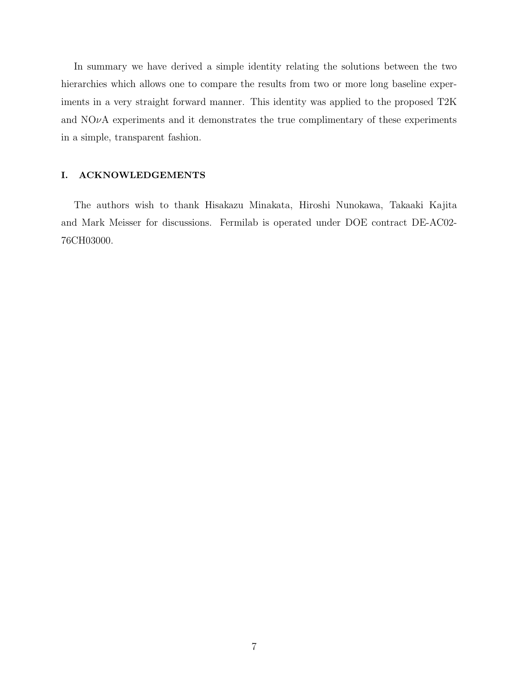In summary we have derived a simple identity relating the solutions between the two hierarchies which allows one to compare the results from two or more long baseline experiments in a very straight forward manner. This identity was applied to the proposed T2K and  $NOvA$  experiments and it demonstrates the true complimentary of these experiments in a simple, transparent fashion.

#### I. ACKNOWLEDGEMENTS

The authors wish to thank Hisakazu Minakata, Hiroshi Nunokawa, Takaaki Kajita and Mark Meisser for discussions. Fermilab is operated under DOE contract DE-AC02- 76CH03000.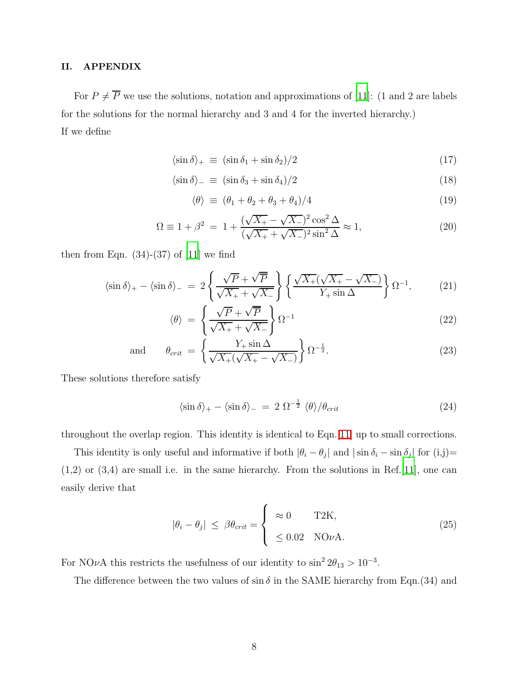### II. APPENDIX

For  $P \neq \overline{P}$  we use the solutions, notation and approximations of [\[11\]](#page-13-8): (1 and 2 are labels for the solutions for the normal hierarchy and 3 and 4 for the inverted hierarchy.) If we define

$$
\langle \sin \delta \rangle_{+} \equiv (\sin \delta_1 + \sin \delta_2)/2 \tag{17}
$$

$$
\langle \sin \delta \rangle_{-} \equiv (\sin \delta_3 + \sin \delta_4)/2 \tag{18}
$$

$$
\langle \theta \rangle \equiv (\theta_1 + \theta_2 + \theta_3 + \theta_4)/4 \tag{19}
$$

$$
\Omega \equiv 1 + \beta^2 = 1 + \frac{(\sqrt{X_+} - \sqrt{X_-})^2 \cos^2 \Delta}{(\sqrt{X_+} + \sqrt{X_-})^2 \sin^2 \Delta} \approx 1, \tag{20}
$$

then from Eqn.  $(34)-(37)$  of [\[11](#page-13-8)] we find

$$
\langle \sin \delta \rangle_{+} - \langle \sin \delta \rangle_{-} = 2 \left\{ \frac{\sqrt{P} + \sqrt{P}}{\sqrt{X_{+}} + \sqrt{X_{-}}} \right\} \left\{ \frac{\sqrt{X_{+}} (\sqrt{X_{+}} - \sqrt{X_{-}})}{Y_{+} \sin \Delta} \right\} \Omega^{-1}, \tag{21}
$$

$$
\langle \theta \rangle = \left\{ \frac{\sqrt{P} + \sqrt{P}}{\sqrt{X_+} + \sqrt{X_-}} \right\} \Omega^{-1}
$$
\n(22)

and 
$$
\theta_{crit} = \left\{ \frac{Y_+ \sin \Delta}{\sqrt{X_+} (\sqrt{X_+} - \sqrt{X_-})} \right\} \Omega^{-\frac{1}{2}}.
$$
 (23)

These solutions therefore satisfy

$$
\langle \sin \delta \rangle_{+} - \langle \sin \delta \rangle_{-} = 2 \ \Omega^{-\frac{1}{2}} \ \langle \theta \rangle / \theta_{crit} \tag{24}
$$

throughout the overlap region. This identity is identical to Eqn.[\[11\]](#page-3-0) up to small corrections.

This identity is only useful and informative if both  $|\theta_i - \theta_j|$  and  $|\sin \delta_i - \sin \delta_j|$  for  $(i,j)$ = (1,2) or (3,4) are small i.e. in the same hierarchy. From the solutions in Ref.[\[11\]](#page-13-8), one can easily derive that

$$
|\theta_i - \theta_j| \le \beta \theta_{crit} = \begin{cases} \approx 0 & \text{T2K}, \\ \le 0.02 & \text{NOvA}. \end{cases}
$$
 (25)

For NO $\nu$ A this restricts the usefulness of our identity to  $\sin^2 2\theta_{13} > 10^{-3}$ .

The difference between the two values of  $\sin \delta$  in the SAME hierarchy from Eqn.(34) and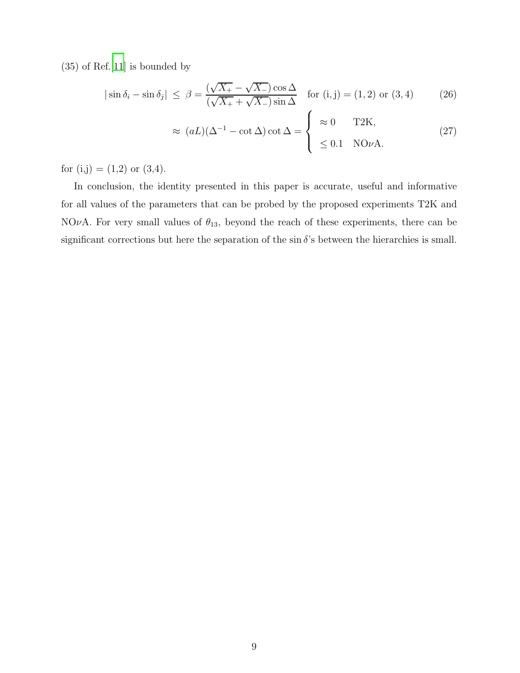(35) of Ref.[\[11\]](#page-13-8) is bounded by

$$
|\sin \delta_i - \sin \delta_j| \leq \beta = \frac{(\sqrt{X_+} - \sqrt{X_-})\cos \Delta}{(\sqrt{X_+} + \sqrt{X_-})\sin \Delta} \quad \text{for } (i, j) = (1, 2) \text{ or } (3, 4) \tag{26}
$$

$$
\approx (aL)(\Delta^{-1} - \cot \Delta) \cot \Delta = \begin{cases} \approx 0 & \text{T2K}, \\ \leq 0.1 & \text{NO}\nu\text{A}. \end{cases}
$$
 (27)

for  $(i,j) = (1,2)$  or  $(3,4)$ .

In conclusion, the identity presented in this paper is accurate, useful and informative for all values of the parameters that can be probed by the proposed experiments T2K and NOvA. For very small values of  $\theta_{13}$ , beyond the reach of these experiments, there can be significant corrections but here the separation of the sin  $\delta$ 's between the hierarchies is small.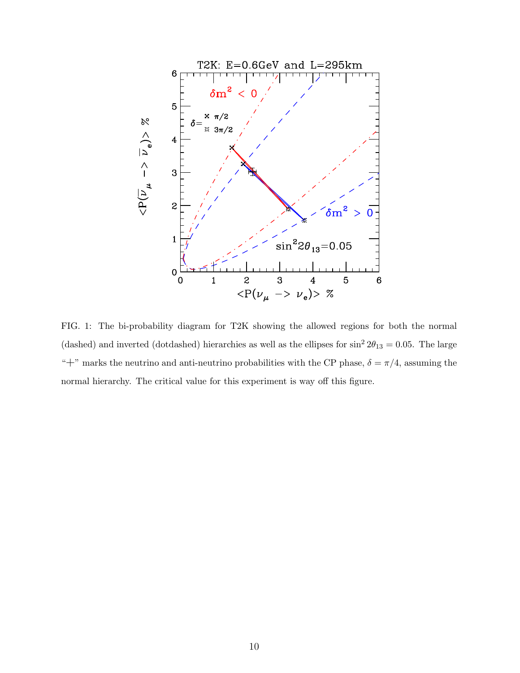

FIG. 1: The bi-probability diagram for T2K showing the allowed regions for both the normal (dashed) and inverted (dotdashed) hierarchies as well as the ellipses for  $\sin^2 2\theta_{13} = 0.05$ . The large "<sup>+"</sup> marks the neutrino and anti-neutrino probabilities with the CP phase,  $\delta = \pi/4$ , assuming the normal hierarchy. The critical value for this experiment is way off this figure.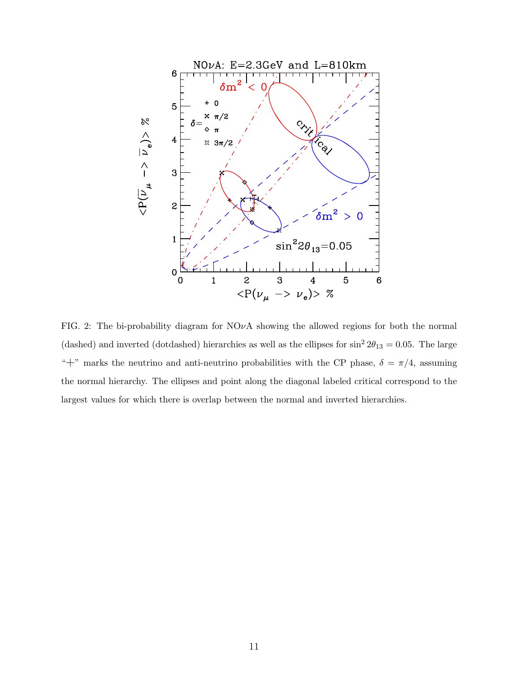

FIG. 2: The bi-probability diagram for  $NO\nu A$  showing the allowed regions for both the normal (dashed) and inverted (dotdashed) hierarchies as well as the ellipses for  $\sin^2 2\theta_{13} = 0.05$ . The large "+" marks the neutrino and anti-neutrino probabilities with the CP phase,  $\delta = \pi/4$ , assuming the normal hierarchy. The ellipses and point along the diagonal labeled critical correspond to the largest values for which there is overlap between the normal and inverted hierarchies.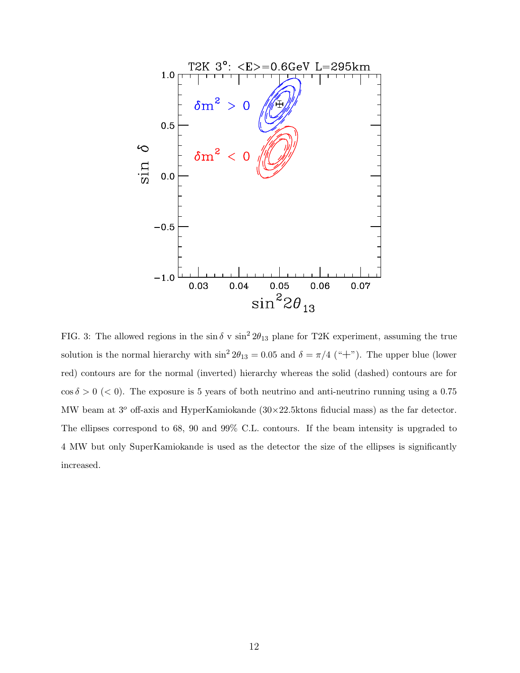

FIG. 3: The allowed regions in the sin  $\delta$  v sin<sup>2</sup>  $2\theta_{13}$  plane for T2K experiment, assuming the true solution is the normal hierarchy with  $\sin^2 2\theta_{13} = 0.05$  and  $\delta = \pi/4$  ("+"). The upper blue (lower red) contours are for the normal (inverted) hierarchy whereas the solid (dashed) contours are for  $\cos \delta > 0$  (< 0). The exposure is 5 years of both neutrino and anti-neutrino running using a 0.75 MW beam at  $3^{\circ}$  off-axis and HyperKamiokande  $(30\times22.5)$ ktons fiducial mass) as the far detector. The ellipses correspond to 68, 90 and 99% C.L. contours. If the beam intensity is upgraded to 4 MW but only SuperKamiokande is used as the detector the size of the ellipses is significantly increased.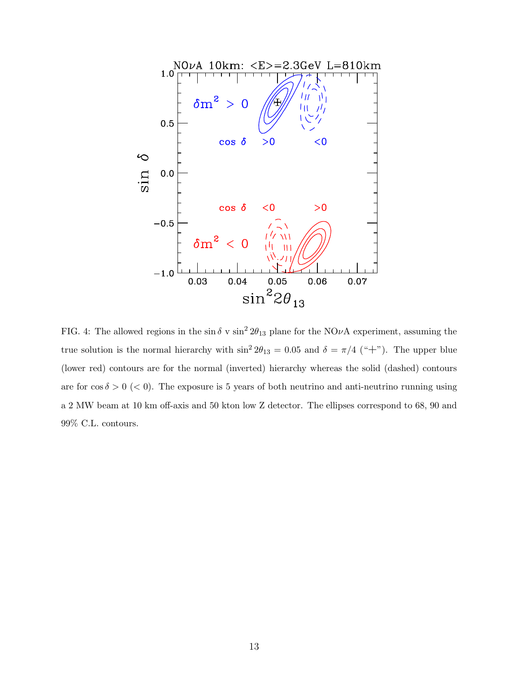

FIG. 4: The allowed regions in the  $\sin \delta v \sin^2 2\theta_{13}$  plane for the NO<sub>V</sub>A experiment, assuming the true solution is the normal hierarchy with  $\sin^2 2\theta_{13} = 0.05$  and  $\delta = \pi/4$  ("+"). The upper blue (lower red) contours are for the normal (inverted) hierarchy whereas the solid (dashed) contours are for  $\cos \delta > 0$  (< 0). The exposure is 5 years of both neutrino and anti-neutrino running using a 2 MW beam at 10 km off-axis and 50 kton low Z detector. The ellipses correspond to 68, 90 and 99% C.L. contours.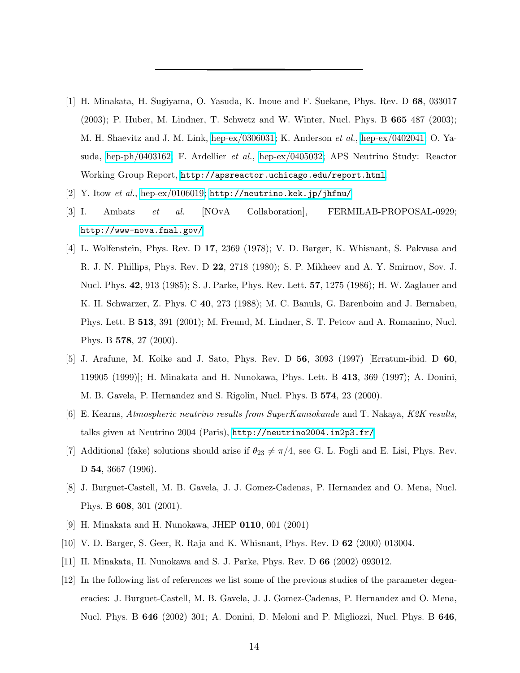- <span id="page-13-0"></span>[1] H. Minakata, H. Sugiyama, O. Yasuda, K. Inoue and F. Suekane, Phys. Rev. D 68, 033017 (2003); P. Huber, M. Lindner, T. Schwetz and W. Winter, Nucl. Phys. B 665 487 (2003); M. H. Shaevitz and J. M. Link, [hep-ex/0306031;](http://arxiv.org/abs/hep-ex/0306031) K. Anderson et al., [hep-ex/0402041;](http://arxiv.org/abs/hep-ex/0402041) O. Yasuda, [hep-ph/0403162;](http://arxiv.org/abs/hep-ph/0403162) F. Ardellier et al., [hep-ex/0405032;](http://arxiv.org/abs/hep-ex/0405032) APS Neutrino Study: Reactor Working Group Report, <http://apsreactor.uchicago.edu/report.html>.
- <span id="page-13-2"></span><span id="page-13-1"></span>[2] Y. Itow et al., [hep-ex/0106019;](http://arxiv.org/abs/hep-ex/0106019) <http://neutrino.kek.jp/jhfnu/>
- [3] I. Ambats et al. [NOvA Collaboration], FERMILAB-PROPOSAL-0929; <http://www-nova.fnal.gov/>
- <span id="page-13-3"></span>[4] L. Wolfenstein, Phys. Rev. D 17, 2369 (1978); V. D. Barger, K. Whisnant, S. Pakvasa and R. J. N. Phillips, Phys. Rev. D 22, 2718 (1980); S. P. Mikheev and A. Y. Smirnov, Sov. J. Nucl. Phys. 42, 913 (1985); S. J. Parke, Phys. Rev. Lett. 57, 1275 (1986); H. W. Zaglauer and K. H. Schwarzer, Z. Phys. C 40, 273 (1988); M. C. Banuls, G. Barenboim and J. Bernabeu, Phys. Lett. B 513, 391 (2001); M. Freund, M. Lindner, S. T. Petcov and A. Romanino, Nucl. Phys. B 578, 27 (2000).
- <span id="page-13-4"></span>[5] J. Arafune, M. Koike and J. Sato, Phys. Rev. D 56, 3093 (1997) [Erratum-ibid. D 60, 119905 (1999)]; H. Minakata and H. Nunokawa, Phys. Lett. B 413, 369 (1997); A. Donini, M. B. Gavela, P. Hernandez and S. Rigolin, Nucl. Phys. B 574, 23 (2000).
- <span id="page-13-10"></span>[6] E. Kearns, Atmospheric neutrino results from SuperKamiokande and T. Nakaya, K2K results, talks given at Neutrino 2004 (Paris), <http://neutrino2004.in2p3.fr/>
- <span id="page-13-11"></span>[7] Additional (fake) solutions should arise if  $\theta_{23} \neq \pi/4$ , see G. L. Fogli and E. Lisi, Phys. Rev. D 54, 3667 (1996).
- <span id="page-13-5"></span>[8] J. Burguet-Castell, M. B. Gavela, J. J. Gomez-Cadenas, P. Hernandez and O. Mena, Nucl. Phys. B 608, 301 (2001).
- <span id="page-13-6"></span>[9] H. Minakata and H. Nunokawa, JHEP 0110, 001 (2001)
- <span id="page-13-7"></span>[10] V. D. Barger, S. Geer, R. Raja and K. Whisnant, Phys. Rev. D 62 (2000) 013004.
- <span id="page-13-8"></span>[11] H. Minakata, H. Nunokawa and S. J. Parke, Phys. Rev. D 66 (2002) 093012.
- <span id="page-13-9"></span>[12] In the following list of references we list some of the previous studies of the parameter degeneracies: J. Burguet-Castell, M. B. Gavela, J. J. Gomez-Cadenas, P. Hernandez and O. Mena, Nucl. Phys. B 646 (2002) 301; A. Donini, D. Meloni and P. Migliozzi, Nucl. Phys. B 646,